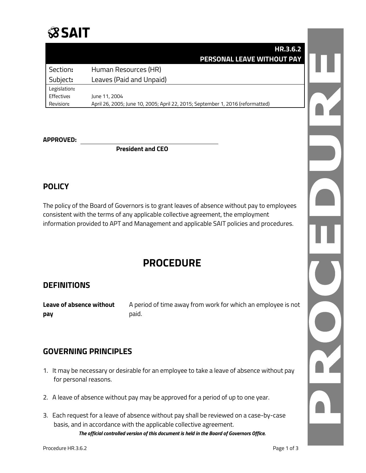## **SSAIT**

|  | HR.3.6.2                                                                       |              |
|--|--------------------------------------------------------------------------------|--------------|
|  | PERSONAL LEAVE WITHOUT PAY                                                     |              |
|  | Human Resources (HR)                                                           | Section:     |
|  | Leaves (Paid and Unpaid)                                                       | Subject:     |
|  |                                                                                | Legislation: |
|  | June 11, 2004                                                                  | Effective:   |
|  | April 26, 2005; June 10, 2005; April 22, 2015; September 1, 2016 (reformatted) | Revision:    |
|  |                                                                                |              |
|  |                                                                                |              |
|  |                                                                                |              |

#### **APPROVED:**

**President and CEO**

### **POLICY**

The policy of the Board of Governors is to grant leaves of absence without pay to employees consistent with the terms of any applicable collective agreement, the employment information provided to APT and Management and applicable SAIT policies and procedures.

### **PROCEDURE**

#### **DEFINITIONS**

**Leave of absence without** A period of time away from work for which an employee is not **pay** paid.

#### **GOVERNING PRINCIPLES**

- 1. It may be necessary or desirable for an employee to take a leave of absence without pay for personal reasons.
- 2. A leave of absence without pay may be approved for a period of up to one year.
- *The official controlled version of this document is held in the Board of Governors Office.* 3. Each request for a leave of absence without pay shall be reviewed on a case-by-case basis, and in accordance with the applicable collective agreement.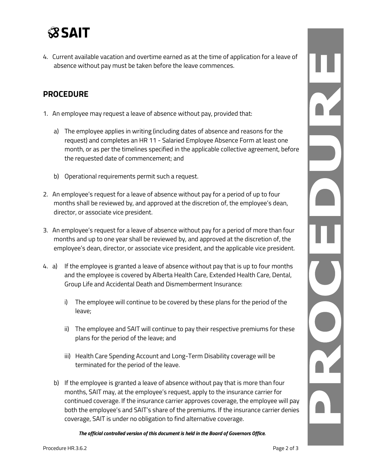

4. Current available vacation and overtime earned as at the time of application for a leave of absence without pay must be taken before the leave commences.

#### **PROCEDURE**

- 1. An employee may request a leave of absence without pay, provided that:
	- a) The employee applies in writing (including dates of absence and reasons for the request) and completes an HR 11 - Salaried Employee Absence Form at least one month, or as per the timelines specified in the applicable collective agreement, before the requested date of commencement; and
	- b) Operational requirements permit such a request.
- 2. An employee's request for a leave of absence without pay for a period of up to four months shall be reviewed by, and approved at the discretion of, the employee's dean, director, or associate vice president.
- 3. An employee's request for a leave of absence without pay for a period of more than four months and up to one year shall be reviewed by, and approved at the discretion of, the employee's dean, director, or associate vice president, and the applicable vice president.
- 4. a) If the employee is granted a leave of absence without pay that is up to four months and the employee is covered by Alberta Health Care, Extended Health Care, Dental, Group Life and Accidental Death and Dismemberment Insurance:
	- i) The employee will continue to be covered by these plans for the period of the leave;
	- ii) The employee and SAIT will continue to pay their respective premiums for these plans for the period of the leave; and
	- iii) Health Care Spending Account and Long-Term Disability coverage will be terminated for the period of the leave.
	- b) If the employee is granted a leave of absence without pay that is more than four months, SAIT may, at the employee's request, apply to the insurance carrier for continued coverage. If the insurance carrier approves coverage, the employee will pay both the employee's and SAIT's share of the premiums. If the insurance carrier denies coverage, SAIT is under no obligation to find alternative coverage.

*The official controlled version of this document is held in the Board of Governors Office.*